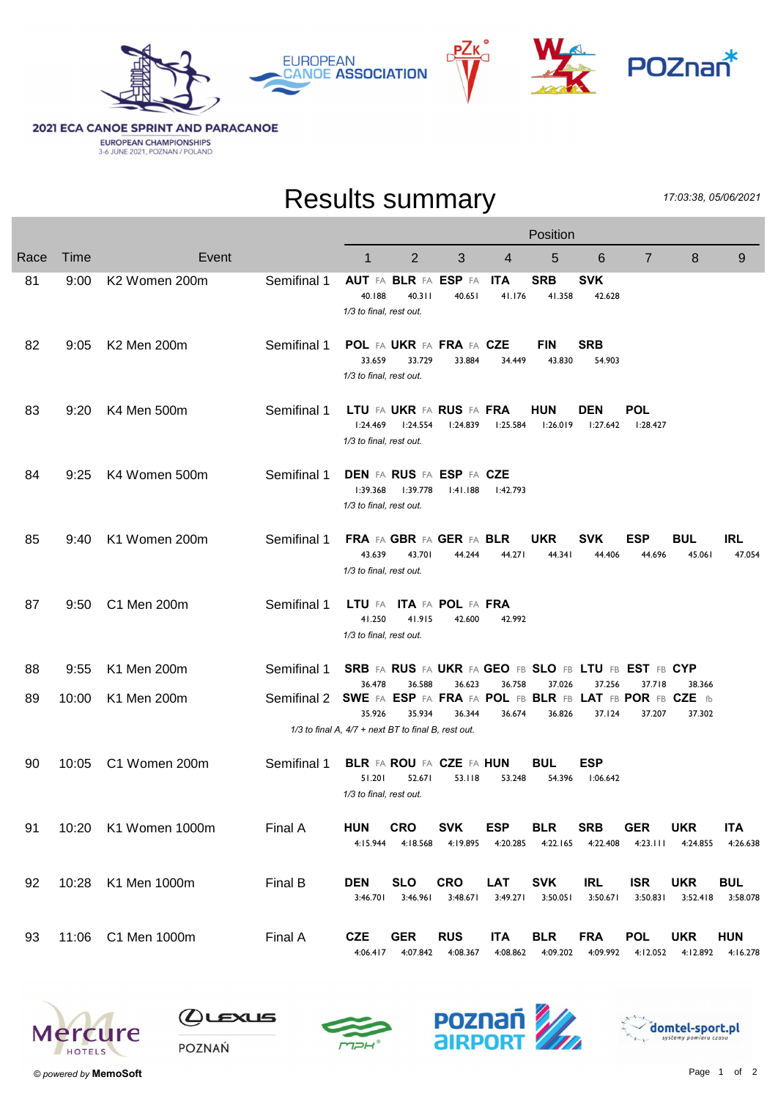



## **2021 ECA CANOE SPRINT AND PARACANOE EUROPEAN CHAMPIONSHIPS**<br>3-6 JUNE 2021, POZNAN / POLAND

## Results summary

17:03:38, 05/06/2021

|      |       |                           |             | Position                                                                    |                                             |                        |                        |                                                      |                        |                        |                        |                        |  |
|------|-------|---------------------------|-------------|-----------------------------------------------------------------------------|---------------------------------------------|------------------------|------------------------|------------------------------------------------------|------------------------|------------------------|------------------------|------------------------|--|
| Race | Time  | Event                     |             | 1                                                                           | 2                                           | 3                      | 4                      | 5                                                    | 6                      | $\overline{7}$         | 8                      | 9                      |  |
| 81   | 9:00  | K <sub>2</sub> Women 200m | Semifinal 1 | 40.188<br>1/3 to final, rest out.                                           | <b>AUT FA BLR FA ESP FA</b><br>40.311       | 40.651                 | <b>ITA</b><br>41.176   | <b>SRB</b><br>41.358                                 | <b>SVK</b><br>42.628   |                        |                        |                        |  |
| 82   | 9:05  | K2 Men 200m               | Semifinal 1 | 33.659<br>1/3 to final, rest out.                                           | POL FA UKR FA FRA FA CZE<br>33.729          | 33.884                 | 34.449                 | <b>FIN</b><br>43.830                                 | <b>SRB</b><br>54.903   |                        |                        |                        |  |
| 83   | 9:20  | K4 Men 500m               | Semifinal 1 | 1:24.469<br>1/3 to final, rest out.                                         | LTU FA UKR FA RUS FA FRA<br>1:24.554        | 1:24.839               | 1:25.584               | <b>HUN</b><br>1:26.019                               | <b>DEN</b><br>1:27.642 | POL<br>l:28.427        |                        |                        |  |
| 84   | 9:25  | K4 Women 500m             | Semifinal 1 | 1:39.368<br>1/3 to final, rest out.                                         | <b>DEN FA RUS FA ESP FA CZE</b><br>I:39.778 | 1:41.188               | l:42.793               |                                                      |                        |                        |                        |                        |  |
| 85   | 9:40  | K1 Women 200m             | Semifinal 1 | 43.639<br>1/3 to final, rest out.                                           | FRA FA GBR FA GER FA BLR<br>43.701          | 44.244                 | 44.271                 | <b>UKR</b><br>44.341                                 | <b>SVK</b><br>44.406   | ESP<br>44.696          | <b>BUL</b><br>45.061   | <b>IRL</b><br>47.054   |  |
| 87   | 9:50  | C1 Men 200m               | Semifinal 1 | 41.250<br>1/3 to final, rest out.                                           | LTU FA ITA FA POL FA FRA<br>41.915          | 42.600                 | 42.992                 |                                                      |                        |                        |                        |                        |  |
| 88   | 9:55  | K1 Men 200m               | Semifinal 1 |                                                                             |                                             |                        |                        | SRB FA RUS FA UKR FA GEO FB SLO FB LTU FB EST FB CYP |                        |                        |                        |                        |  |
| 89   | 10:00 | K1 Men 200m               | Semifinal 2 | 36.478<br>SWE FA ESP FA FRA FA POL FB BLR FB LAT FB POR FB CZE fb<br>35.926 | 36.588<br>35.934                            | 36.623<br>36.344       | 36.758<br>36.674       | 37.026<br>36.826                                     | 37.256<br>37.124       | 37.718<br>37.207       | 38.366<br>37.302       |                        |  |
|      |       |                           |             | 1/3 to final A, 4/7 + next BT to final B, rest out.                         |                                             |                        |                        |                                                      |                        |                        |                        |                        |  |
| 90   | 10:05 | C1 Women 200m             | Semifinal 1 | 51.201<br>1/3 to final, rest out.                                           | <b>BLR FA ROU FA CZE FA HUN</b><br>52.671   | 53.118                 | 53.248                 | <b>BUL</b><br>54.396                                 | <b>ESP</b><br>1:06.642 |                        |                        |                        |  |
| 91   |       | 10:20 K1 Women 1000m      | Final A     | <b>HUN</b><br>4:15.944                                                      | <b>CRO</b><br>4:18.568                      | <b>SVK</b><br>4:19.895 | <b>ESP</b><br>4:20.285 | <b>BLR</b><br>4:22.165                               | <b>SRB</b><br>4:22.408 | <b>GER</b><br>4:23.111 | <b>UKR</b><br>4:24.855 | <b>ITA</b><br>4:26.638 |  |
| 92   |       | 10:28 K1 Men 1000m        | Final B     | <b>DEN</b><br>3:46.701                                                      | <b>SLO</b><br>3:46.961                      | <b>CRO</b><br>3:48.671 | <b>LAT</b><br>3:49.271 | <b>SVK</b><br>3:50.051                               | <b>IRL</b><br>3:50.671 | <b>ISR</b><br>3:50.831 | <b>UKR</b><br>3:52.418 | <b>BUL</b><br>3:58.078 |  |
| 93   |       | 11:06 C1 Men 1000m        | Final A     | <b>CZE</b><br>4:06.417                                                      | <b>GER</b><br>4:07.842                      | <b>RUS</b><br>4:08.367 | <b>ITA</b><br>4:08.862 | <b>BLR</b><br>4:09.202                               | <b>FRA</b><br>4:09.992 | <b>POL</b><br>4:12.052 | <b>UKR</b><br>4:12.892 | <b>HUN</b><br>4:16.278 |  |